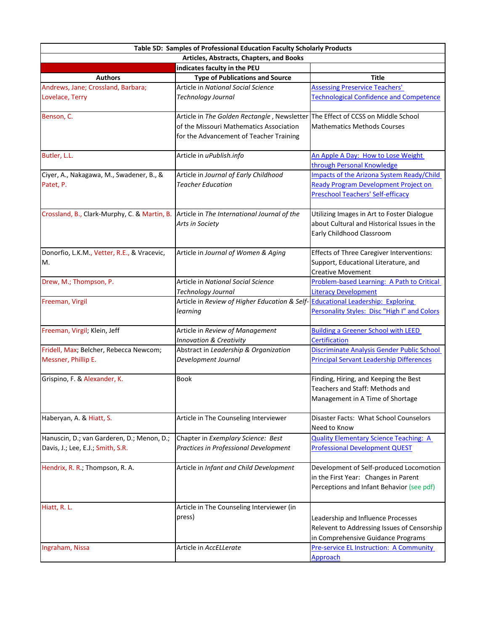| Articles, Abstracts, Chapters, and Books<br>indicates faculty in the PEU<br><b>Type of Publications and Source</b><br><b>Authors</b><br><b>Title</b><br>Andrews, Jane; Crossland, Barbara;<br>Article in National Social Science<br><b>Assessing Preservice Teachers'</b><br>Lovelace, Terry<br>Technology Journal<br><b>Technological Confidence and Competence</b><br>Benson, C.<br>Article in The Golden Rectangle, Newsletter The Effect of CCSS on Middle School<br>of the Missouri Mathematics Association<br><b>Mathematics Methods Courses</b><br>for the Advancement of Teacher Training<br>Butler, L.L.<br>Article in uPublish.info<br>An Apple A Day: How to Lose Weight<br>through Personal Knowledge<br>Article in Journal of Early Childhood<br>Impacts of the Arizona System Ready/Child<br>Ciyer, A., Nakagawa, M., Swadener, B., &<br><b>Ready Program Development Project on</b><br><b>Teacher Education</b><br>Patet, P.<br><b>Preschool Teachers' Self-efficacy</b><br>Crossland, B., Clark-Murphy, C. & Martin, B. Article in The International Journal of the<br>Utilizing Images in Art to Foster Dialogue<br>about Cultural and Historical Issues in the<br>Arts in Society<br>Early Childhood Classroom<br>Donorfio, L.K.M., Vetter, R.E., & Vracevic,<br>Article in Journal of Women & Aging<br><b>Effects of Three Caregiver Interventions:</b><br>M.<br>Support, Educational Literature, and<br><b>Creative Movement</b><br>Drew, M.; Thompson, P.<br>Article in National Social Science<br>Problem-based Learning: A Path to Critical<br>Technology Journal<br><b>Literacy Development</b><br>Freeman, Virgil<br>Article in Review of Higher Education & Self-<br><b>Educational Leadership: Exploring</b><br>Personality Styles: Disc "High I" and Colors<br>learning<br>Freeman, Virgil; Klein, Jeff<br>Article in Review of Management<br><b>Building a Greener School with LEED</b><br><b>Certification</b><br><b>Innovation &amp; Creativity</b><br>Fridell, Max; Belcher, Rebecca Newcom;<br>Discriminate Analysis Gender Public School<br>Abstract in Leadership & Organization<br>Messner, Phillip E.<br>Development Journal<br><b>Principal Servant Leadership Differences</b><br>Grispino, F. & Alexander, K.<br><b>Book</b><br>Finding, Hiring, and Keeping the Best<br>Teachers and Staff: Methods and<br>Management in A Time of Shortage<br>Haberyan, A. & Hiatt, S.<br>Disaster Facts: What School Counselors<br>Article in The Counseling Interviewer<br>Need to Know<br><b>Quality Elementary Science Teaching: A</b><br>Hanuscin, D.; van Garderen, D.; Menon, D.;<br>Chapter in Exemplary Science: Best<br><b>Professional Development QUEST</b><br>Practices in Professional Development<br>Davis, J.; Lee, E.J.; Smith, S.R.<br>Development of Self-produced Locomotion<br>Hendrix, R. R.; Thompson, R. A.<br>Article in Infant and Child Development<br>in the First Year: Changes in Parent<br>Perceptions and Infant Behavior (see pdf)<br>Hiatt, R. L.<br>Article in The Counseling Interviewer (in<br>press)<br>Leadership and Influence Processes<br>Relevent to Addressing Issues of Censorship<br>in Comprehensive Guidance Programs<br>Ingraham, Nissa<br>Article in AccELLerate<br><b>Pre-service EL Instruction: A Community</b><br><b>Approach</b> | Table 5D: Samples of Professional Education Faculty Scholarly Products |  |  |  |
|------------------------------------------------------------------------------------------------------------------------------------------------------------------------------------------------------------------------------------------------------------------------------------------------------------------------------------------------------------------------------------------------------------------------------------------------------------------------------------------------------------------------------------------------------------------------------------------------------------------------------------------------------------------------------------------------------------------------------------------------------------------------------------------------------------------------------------------------------------------------------------------------------------------------------------------------------------------------------------------------------------------------------------------------------------------------------------------------------------------------------------------------------------------------------------------------------------------------------------------------------------------------------------------------------------------------------------------------------------------------------------------------------------------------------------------------------------------------------------------------------------------------------------------------------------------------------------------------------------------------------------------------------------------------------------------------------------------------------------------------------------------------------------------------------------------------------------------------------------------------------------------------------------------------------------------------------------------------------------------------------------------------------------------------------------------------------------------------------------------------------------------------------------------------------------------------------------------------------------------------------------------------------------------------------------------------------------------------------------------------------------------------------------------------------------------------------------------------------------------------------------------------------------------------------------------------------------------------------------------------------------------------------------------------------------------------------------------------------------------------------------------------------------------------------------------------------------------------------------------------------------------------------------------------------------------------------------------------------------------------------------------------------------------------------------------------------------------------------------------------------------------------------------------------------------------------------------------------------------------------------------------------------------------------------------------|------------------------------------------------------------------------|--|--|--|
|                                                                                                                                                                                                                                                                                                                                                                                                                                                                                                                                                                                                                                                                                                                                                                                                                                                                                                                                                                                                                                                                                                                                                                                                                                                                                                                                                                                                                                                                                                                                                                                                                                                                                                                                                                                                                                                                                                                                                                                                                                                                                                                                                                                                                                                                                                                                                                                                                                                                                                                                                                                                                                                                                                                                                                                                                                                                                                                                                                                                                                                                                                                                                                                                                                                                                                                  |                                                                        |  |  |  |
|                                                                                                                                                                                                                                                                                                                                                                                                                                                                                                                                                                                                                                                                                                                                                                                                                                                                                                                                                                                                                                                                                                                                                                                                                                                                                                                                                                                                                                                                                                                                                                                                                                                                                                                                                                                                                                                                                                                                                                                                                                                                                                                                                                                                                                                                                                                                                                                                                                                                                                                                                                                                                                                                                                                                                                                                                                                                                                                                                                                                                                                                                                                                                                                                                                                                                                                  |                                                                        |  |  |  |
|                                                                                                                                                                                                                                                                                                                                                                                                                                                                                                                                                                                                                                                                                                                                                                                                                                                                                                                                                                                                                                                                                                                                                                                                                                                                                                                                                                                                                                                                                                                                                                                                                                                                                                                                                                                                                                                                                                                                                                                                                                                                                                                                                                                                                                                                                                                                                                                                                                                                                                                                                                                                                                                                                                                                                                                                                                                                                                                                                                                                                                                                                                                                                                                                                                                                                                                  |                                                                        |  |  |  |
|                                                                                                                                                                                                                                                                                                                                                                                                                                                                                                                                                                                                                                                                                                                                                                                                                                                                                                                                                                                                                                                                                                                                                                                                                                                                                                                                                                                                                                                                                                                                                                                                                                                                                                                                                                                                                                                                                                                                                                                                                                                                                                                                                                                                                                                                                                                                                                                                                                                                                                                                                                                                                                                                                                                                                                                                                                                                                                                                                                                                                                                                                                                                                                                                                                                                                                                  |                                                                        |  |  |  |
|                                                                                                                                                                                                                                                                                                                                                                                                                                                                                                                                                                                                                                                                                                                                                                                                                                                                                                                                                                                                                                                                                                                                                                                                                                                                                                                                                                                                                                                                                                                                                                                                                                                                                                                                                                                                                                                                                                                                                                                                                                                                                                                                                                                                                                                                                                                                                                                                                                                                                                                                                                                                                                                                                                                                                                                                                                                                                                                                                                                                                                                                                                                                                                                                                                                                                                                  |                                                                        |  |  |  |
|                                                                                                                                                                                                                                                                                                                                                                                                                                                                                                                                                                                                                                                                                                                                                                                                                                                                                                                                                                                                                                                                                                                                                                                                                                                                                                                                                                                                                                                                                                                                                                                                                                                                                                                                                                                                                                                                                                                                                                                                                                                                                                                                                                                                                                                                                                                                                                                                                                                                                                                                                                                                                                                                                                                                                                                                                                                                                                                                                                                                                                                                                                                                                                                                                                                                                                                  |                                                                        |  |  |  |
|                                                                                                                                                                                                                                                                                                                                                                                                                                                                                                                                                                                                                                                                                                                                                                                                                                                                                                                                                                                                                                                                                                                                                                                                                                                                                                                                                                                                                                                                                                                                                                                                                                                                                                                                                                                                                                                                                                                                                                                                                                                                                                                                                                                                                                                                                                                                                                                                                                                                                                                                                                                                                                                                                                                                                                                                                                                                                                                                                                                                                                                                                                                                                                                                                                                                                                                  |                                                                        |  |  |  |
|                                                                                                                                                                                                                                                                                                                                                                                                                                                                                                                                                                                                                                                                                                                                                                                                                                                                                                                                                                                                                                                                                                                                                                                                                                                                                                                                                                                                                                                                                                                                                                                                                                                                                                                                                                                                                                                                                                                                                                                                                                                                                                                                                                                                                                                                                                                                                                                                                                                                                                                                                                                                                                                                                                                                                                                                                                                                                                                                                                                                                                                                                                                                                                                                                                                                                                                  |                                                                        |  |  |  |
|                                                                                                                                                                                                                                                                                                                                                                                                                                                                                                                                                                                                                                                                                                                                                                                                                                                                                                                                                                                                                                                                                                                                                                                                                                                                                                                                                                                                                                                                                                                                                                                                                                                                                                                                                                                                                                                                                                                                                                                                                                                                                                                                                                                                                                                                                                                                                                                                                                                                                                                                                                                                                                                                                                                                                                                                                                                                                                                                                                                                                                                                                                                                                                                                                                                                                                                  |                                                                        |  |  |  |
|                                                                                                                                                                                                                                                                                                                                                                                                                                                                                                                                                                                                                                                                                                                                                                                                                                                                                                                                                                                                                                                                                                                                                                                                                                                                                                                                                                                                                                                                                                                                                                                                                                                                                                                                                                                                                                                                                                                                                                                                                                                                                                                                                                                                                                                                                                                                                                                                                                                                                                                                                                                                                                                                                                                                                                                                                                                                                                                                                                                                                                                                                                                                                                                                                                                                                                                  |                                                                        |  |  |  |
|                                                                                                                                                                                                                                                                                                                                                                                                                                                                                                                                                                                                                                                                                                                                                                                                                                                                                                                                                                                                                                                                                                                                                                                                                                                                                                                                                                                                                                                                                                                                                                                                                                                                                                                                                                                                                                                                                                                                                                                                                                                                                                                                                                                                                                                                                                                                                                                                                                                                                                                                                                                                                                                                                                                                                                                                                                                                                                                                                                                                                                                                                                                                                                                                                                                                                                                  |                                                                        |  |  |  |
|                                                                                                                                                                                                                                                                                                                                                                                                                                                                                                                                                                                                                                                                                                                                                                                                                                                                                                                                                                                                                                                                                                                                                                                                                                                                                                                                                                                                                                                                                                                                                                                                                                                                                                                                                                                                                                                                                                                                                                                                                                                                                                                                                                                                                                                                                                                                                                                                                                                                                                                                                                                                                                                                                                                                                                                                                                                                                                                                                                                                                                                                                                                                                                                                                                                                                                                  |                                                                        |  |  |  |
|                                                                                                                                                                                                                                                                                                                                                                                                                                                                                                                                                                                                                                                                                                                                                                                                                                                                                                                                                                                                                                                                                                                                                                                                                                                                                                                                                                                                                                                                                                                                                                                                                                                                                                                                                                                                                                                                                                                                                                                                                                                                                                                                                                                                                                                                                                                                                                                                                                                                                                                                                                                                                                                                                                                                                                                                                                                                                                                                                                                                                                                                                                                                                                                                                                                                                                                  |                                                                        |  |  |  |
|                                                                                                                                                                                                                                                                                                                                                                                                                                                                                                                                                                                                                                                                                                                                                                                                                                                                                                                                                                                                                                                                                                                                                                                                                                                                                                                                                                                                                                                                                                                                                                                                                                                                                                                                                                                                                                                                                                                                                                                                                                                                                                                                                                                                                                                                                                                                                                                                                                                                                                                                                                                                                                                                                                                                                                                                                                                                                                                                                                                                                                                                                                                                                                                                                                                                                                                  |                                                                        |  |  |  |
|                                                                                                                                                                                                                                                                                                                                                                                                                                                                                                                                                                                                                                                                                                                                                                                                                                                                                                                                                                                                                                                                                                                                                                                                                                                                                                                                                                                                                                                                                                                                                                                                                                                                                                                                                                                                                                                                                                                                                                                                                                                                                                                                                                                                                                                                                                                                                                                                                                                                                                                                                                                                                                                                                                                                                                                                                                                                                                                                                                                                                                                                                                                                                                                                                                                                                                                  |                                                                        |  |  |  |
|                                                                                                                                                                                                                                                                                                                                                                                                                                                                                                                                                                                                                                                                                                                                                                                                                                                                                                                                                                                                                                                                                                                                                                                                                                                                                                                                                                                                                                                                                                                                                                                                                                                                                                                                                                                                                                                                                                                                                                                                                                                                                                                                                                                                                                                                                                                                                                                                                                                                                                                                                                                                                                                                                                                                                                                                                                                                                                                                                                                                                                                                                                                                                                                                                                                                                                                  |                                                                        |  |  |  |
|                                                                                                                                                                                                                                                                                                                                                                                                                                                                                                                                                                                                                                                                                                                                                                                                                                                                                                                                                                                                                                                                                                                                                                                                                                                                                                                                                                                                                                                                                                                                                                                                                                                                                                                                                                                                                                                                                                                                                                                                                                                                                                                                                                                                                                                                                                                                                                                                                                                                                                                                                                                                                                                                                                                                                                                                                                                                                                                                                                                                                                                                                                                                                                                                                                                                                                                  |                                                                        |  |  |  |
|                                                                                                                                                                                                                                                                                                                                                                                                                                                                                                                                                                                                                                                                                                                                                                                                                                                                                                                                                                                                                                                                                                                                                                                                                                                                                                                                                                                                                                                                                                                                                                                                                                                                                                                                                                                                                                                                                                                                                                                                                                                                                                                                                                                                                                                                                                                                                                                                                                                                                                                                                                                                                                                                                                                                                                                                                                                                                                                                                                                                                                                                                                                                                                                                                                                                                                                  |                                                                        |  |  |  |
|                                                                                                                                                                                                                                                                                                                                                                                                                                                                                                                                                                                                                                                                                                                                                                                                                                                                                                                                                                                                                                                                                                                                                                                                                                                                                                                                                                                                                                                                                                                                                                                                                                                                                                                                                                                                                                                                                                                                                                                                                                                                                                                                                                                                                                                                                                                                                                                                                                                                                                                                                                                                                                                                                                                                                                                                                                                                                                                                                                                                                                                                                                                                                                                                                                                                                                                  |                                                                        |  |  |  |
|                                                                                                                                                                                                                                                                                                                                                                                                                                                                                                                                                                                                                                                                                                                                                                                                                                                                                                                                                                                                                                                                                                                                                                                                                                                                                                                                                                                                                                                                                                                                                                                                                                                                                                                                                                                                                                                                                                                                                                                                                                                                                                                                                                                                                                                                                                                                                                                                                                                                                                                                                                                                                                                                                                                                                                                                                                                                                                                                                                                                                                                                                                                                                                                                                                                                                                                  |                                                                        |  |  |  |
|                                                                                                                                                                                                                                                                                                                                                                                                                                                                                                                                                                                                                                                                                                                                                                                                                                                                                                                                                                                                                                                                                                                                                                                                                                                                                                                                                                                                                                                                                                                                                                                                                                                                                                                                                                                                                                                                                                                                                                                                                                                                                                                                                                                                                                                                                                                                                                                                                                                                                                                                                                                                                                                                                                                                                                                                                                                                                                                                                                                                                                                                                                                                                                                                                                                                                                                  |                                                                        |  |  |  |
|                                                                                                                                                                                                                                                                                                                                                                                                                                                                                                                                                                                                                                                                                                                                                                                                                                                                                                                                                                                                                                                                                                                                                                                                                                                                                                                                                                                                                                                                                                                                                                                                                                                                                                                                                                                                                                                                                                                                                                                                                                                                                                                                                                                                                                                                                                                                                                                                                                                                                                                                                                                                                                                                                                                                                                                                                                                                                                                                                                                                                                                                                                                                                                                                                                                                                                                  |                                                                        |  |  |  |
|                                                                                                                                                                                                                                                                                                                                                                                                                                                                                                                                                                                                                                                                                                                                                                                                                                                                                                                                                                                                                                                                                                                                                                                                                                                                                                                                                                                                                                                                                                                                                                                                                                                                                                                                                                                                                                                                                                                                                                                                                                                                                                                                                                                                                                                                                                                                                                                                                                                                                                                                                                                                                                                                                                                                                                                                                                                                                                                                                                                                                                                                                                                                                                                                                                                                                                                  |                                                                        |  |  |  |
|                                                                                                                                                                                                                                                                                                                                                                                                                                                                                                                                                                                                                                                                                                                                                                                                                                                                                                                                                                                                                                                                                                                                                                                                                                                                                                                                                                                                                                                                                                                                                                                                                                                                                                                                                                                                                                                                                                                                                                                                                                                                                                                                                                                                                                                                                                                                                                                                                                                                                                                                                                                                                                                                                                                                                                                                                                                                                                                                                                                                                                                                                                                                                                                                                                                                                                                  |                                                                        |  |  |  |
|                                                                                                                                                                                                                                                                                                                                                                                                                                                                                                                                                                                                                                                                                                                                                                                                                                                                                                                                                                                                                                                                                                                                                                                                                                                                                                                                                                                                                                                                                                                                                                                                                                                                                                                                                                                                                                                                                                                                                                                                                                                                                                                                                                                                                                                                                                                                                                                                                                                                                                                                                                                                                                                                                                                                                                                                                                                                                                                                                                                                                                                                                                                                                                                                                                                                                                                  |                                                                        |  |  |  |
|                                                                                                                                                                                                                                                                                                                                                                                                                                                                                                                                                                                                                                                                                                                                                                                                                                                                                                                                                                                                                                                                                                                                                                                                                                                                                                                                                                                                                                                                                                                                                                                                                                                                                                                                                                                                                                                                                                                                                                                                                                                                                                                                                                                                                                                                                                                                                                                                                                                                                                                                                                                                                                                                                                                                                                                                                                                                                                                                                                                                                                                                                                                                                                                                                                                                                                                  |                                                                        |  |  |  |
|                                                                                                                                                                                                                                                                                                                                                                                                                                                                                                                                                                                                                                                                                                                                                                                                                                                                                                                                                                                                                                                                                                                                                                                                                                                                                                                                                                                                                                                                                                                                                                                                                                                                                                                                                                                                                                                                                                                                                                                                                                                                                                                                                                                                                                                                                                                                                                                                                                                                                                                                                                                                                                                                                                                                                                                                                                                                                                                                                                                                                                                                                                                                                                                                                                                                                                                  |                                                                        |  |  |  |
|                                                                                                                                                                                                                                                                                                                                                                                                                                                                                                                                                                                                                                                                                                                                                                                                                                                                                                                                                                                                                                                                                                                                                                                                                                                                                                                                                                                                                                                                                                                                                                                                                                                                                                                                                                                                                                                                                                                                                                                                                                                                                                                                                                                                                                                                                                                                                                                                                                                                                                                                                                                                                                                                                                                                                                                                                                                                                                                                                                                                                                                                                                                                                                                                                                                                                                                  |                                                                        |  |  |  |
|                                                                                                                                                                                                                                                                                                                                                                                                                                                                                                                                                                                                                                                                                                                                                                                                                                                                                                                                                                                                                                                                                                                                                                                                                                                                                                                                                                                                                                                                                                                                                                                                                                                                                                                                                                                                                                                                                                                                                                                                                                                                                                                                                                                                                                                                                                                                                                                                                                                                                                                                                                                                                                                                                                                                                                                                                                                                                                                                                                                                                                                                                                                                                                                                                                                                                                                  |                                                                        |  |  |  |
|                                                                                                                                                                                                                                                                                                                                                                                                                                                                                                                                                                                                                                                                                                                                                                                                                                                                                                                                                                                                                                                                                                                                                                                                                                                                                                                                                                                                                                                                                                                                                                                                                                                                                                                                                                                                                                                                                                                                                                                                                                                                                                                                                                                                                                                                                                                                                                                                                                                                                                                                                                                                                                                                                                                                                                                                                                                                                                                                                                                                                                                                                                                                                                                                                                                                                                                  |                                                                        |  |  |  |
|                                                                                                                                                                                                                                                                                                                                                                                                                                                                                                                                                                                                                                                                                                                                                                                                                                                                                                                                                                                                                                                                                                                                                                                                                                                                                                                                                                                                                                                                                                                                                                                                                                                                                                                                                                                                                                                                                                                                                                                                                                                                                                                                                                                                                                                                                                                                                                                                                                                                                                                                                                                                                                                                                                                                                                                                                                                                                                                                                                                                                                                                                                                                                                                                                                                                                                                  |                                                                        |  |  |  |
|                                                                                                                                                                                                                                                                                                                                                                                                                                                                                                                                                                                                                                                                                                                                                                                                                                                                                                                                                                                                                                                                                                                                                                                                                                                                                                                                                                                                                                                                                                                                                                                                                                                                                                                                                                                                                                                                                                                                                                                                                                                                                                                                                                                                                                                                                                                                                                                                                                                                                                                                                                                                                                                                                                                                                                                                                                                                                                                                                                                                                                                                                                                                                                                                                                                                                                                  |                                                                        |  |  |  |
|                                                                                                                                                                                                                                                                                                                                                                                                                                                                                                                                                                                                                                                                                                                                                                                                                                                                                                                                                                                                                                                                                                                                                                                                                                                                                                                                                                                                                                                                                                                                                                                                                                                                                                                                                                                                                                                                                                                                                                                                                                                                                                                                                                                                                                                                                                                                                                                                                                                                                                                                                                                                                                                                                                                                                                                                                                                                                                                                                                                                                                                                                                                                                                                                                                                                                                                  |                                                                        |  |  |  |
|                                                                                                                                                                                                                                                                                                                                                                                                                                                                                                                                                                                                                                                                                                                                                                                                                                                                                                                                                                                                                                                                                                                                                                                                                                                                                                                                                                                                                                                                                                                                                                                                                                                                                                                                                                                                                                                                                                                                                                                                                                                                                                                                                                                                                                                                                                                                                                                                                                                                                                                                                                                                                                                                                                                                                                                                                                                                                                                                                                                                                                                                                                                                                                                                                                                                                                                  |                                                                        |  |  |  |
|                                                                                                                                                                                                                                                                                                                                                                                                                                                                                                                                                                                                                                                                                                                                                                                                                                                                                                                                                                                                                                                                                                                                                                                                                                                                                                                                                                                                                                                                                                                                                                                                                                                                                                                                                                                                                                                                                                                                                                                                                                                                                                                                                                                                                                                                                                                                                                                                                                                                                                                                                                                                                                                                                                                                                                                                                                                                                                                                                                                                                                                                                                                                                                                                                                                                                                                  |                                                                        |  |  |  |
|                                                                                                                                                                                                                                                                                                                                                                                                                                                                                                                                                                                                                                                                                                                                                                                                                                                                                                                                                                                                                                                                                                                                                                                                                                                                                                                                                                                                                                                                                                                                                                                                                                                                                                                                                                                                                                                                                                                                                                                                                                                                                                                                                                                                                                                                                                                                                                                                                                                                                                                                                                                                                                                                                                                                                                                                                                                                                                                                                                                                                                                                                                                                                                                                                                                                                                                  |                                                                        |  |  |  |
|                                                                                                                                                                                                                                                                                                                                                                                                                                                                                                                                                                                                                                                                                                                                                                                                                                                                                                                                                                                                                                                                                                                                                                                                                                                                                                                                                                                                                                                                                                                                                                                                                                                                                                                                                                                                                                                                                                                                                                                                                                                                                                                                                                                                                                                                                                                                                                                                                                                                                                                                                                                                                                                                                                                                                                                                                                                                                                                                                                                                                                                                                                                                                                                                                                                                                                                  |                                                                        |  |  |  |
|                                                                                                                                                                                                                                                                                                                                                                                                                                                                                                                                                                                                                                                                                                                                                                                                                                                                                                                                                                                                                                                                                                                                                                                                                                                                                                                                                                                                                                                                                                                                                                                                                                                                                                                                                                                                                                                                                                                                                                                                                                                                                                                                                                                                                                                                                                                                                                                                                                                                                                                                                                                                                                                                                                                                                                                                                                                                                                                                                                                                                                                                                                                                                                                                                                                                                                                  |                                                                        |  |  |  |
|                                                                                                                                                                                                                                                                                                                                                                                                                                                                                                                                                                                                                                                                                                                                                                                                                                                                                                                                                                                                                                                                                                                                                                                                                                                                                                                                                                                                                                                                                                                                                                                                                                                                                                                                                                                                                                                                                                                                                                                                                                                                                                                                                                                                                                                                                                                                                                                                                                                                                                                                                                                                                                                                                                                                                                                                                                                                                                                                                                                                                                                                                                                                                                                                                                                                                                                  |                                                                        |  |  |  |
|                                                                                                                                                                                                                                                                                                                                                                                                                                                                                                                                                                                                                                                                                                                                                                                                                                                                                                                                                                                                                                                                                                                                                                                                                                                                                                                                                                                                                                                                                                                                                                                                                                                                                                                                                                                                                                                                                                                                                                                                                                                                                                                                                                                                                                                                                                                                                                                                                                                                                                                                                                                                                                                                                                                                                                                                                                                                                                                                                                                                                                                                                                                                                                                                                                                                                                                  |                                                                        |  |  |  |
|                                                                                                                                                                                                                                                                                                                                                                                                                                                                                                                                                                                                                                                                                                                                                                                                                                                                                                                                                                                                                                                                                                                                                                                                                                                                                                                                                                                                                                                                                                                                                                                                                                                                                                                                                                                                                                                                                                                                                                                                                                                                                                                                                                                                                                                                                                                                                                                                                                                                                                                                                                                                                                                                                                                                                                                                                                                                                                                                                                                                                                                                                                                                                                                                                                                                                                                  |                                                                        |  |  |  |
|                                                                                                                                                                                                                                                                                                                                                                                                                                                                                                                                                                                                                                                                                                                                                                                                                                                                                                                                                                                                                                                                                                                                                                                                                                                                                                                                                                                                                                                                                                                                                                                                                                                                                                                                                                                                                                                                                                                                                                                                                                                                                                                                                                                                                                                                                                                                                                                                                                                                                                                                                                                                                                                                                                                                                                                                                                                                                                                                                                                                                                                                                                                                                                                                                                                                                                                  |                                                                        |  |  |  |
|                                                                                                                                                                                                                                                                                                                                                                                                                                                                                                                                                                                                                                                                                                                                                                                                                                                                                                                                                                                                                                                                                                                                                                                                                                                                                                                                                                                                                                                                                                                                                                                                                                                                                                                                                                                                                                                                                                                                                                                                                                                                                                                                                                                                                                                                                                                                                                                                                                                                                                                                                                                                                                                                                                                                                                                                                                                                                                                                                                                                                                                                                                                                                                                                                                                                                                                  |                                                                        |  |  |  |
|                                                                                                                                                                                                                                                                                                                                                                                                                                                                                                                                                                                                                                                                                                                                                                                                                                                                                                                                                                                                                                                                                                                                                                                                                                                                                                                                                                                                                                                                                                                                                                                                                                                                                                                                                                                                                                                                                                                                                                                                                                                                                                                                                                                                                                                                                                                                                                                                                                                                                                                                                                                                                                                                                                                                                                                                                                                                                                                                                                                                                                                                                                                                                                                                                                                                                                                  |                                                                        |  |  |  |
|                                                                                                                                                                                                                                                                                                                                                                                                                                                                                                                                                                                                                                                                                                                                                                                                                                                                                                                                                                                                                                                                                                                                                                                                                                                                                                                                                                                                                                                                                                                                                                                                                                                                                                                                                                                                                                                                                                                                                                                                                                                                                                                                                                                                                                                                                                                                                                                                                                                                                                                                                                                                                                                                                                                                                                                                                                                                                                                                                                                                                                                                                                                                                                                                                                                                                                                  |                                                                        |  |  |  |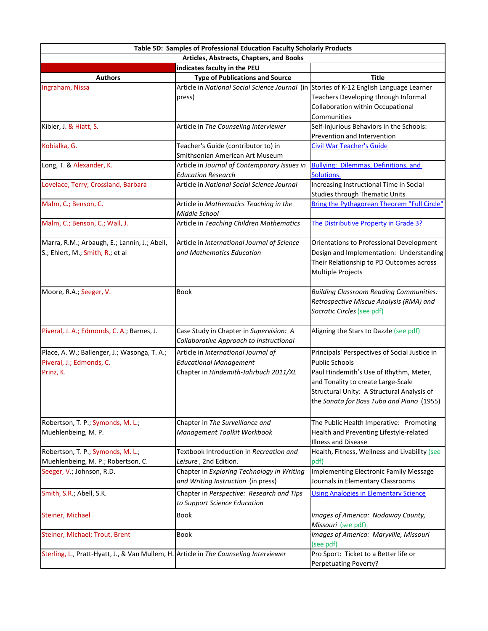|                                                                                       | Table 5D: Samples of Professional Education Faculty Scholarly Products                            |                                                                                                                                                                         |  |
|---------------------------------------------------------------------------------------|---------------------------------------------------------------------------------------------------|-------------------------------------------------------------------------------------------------------------------------------------------------------------------------|--|
| Articles, Abstracts, Chapters, and Books                                              |                                                                                                   |                                                                                                                                                                         |  |
|                                                                                       | indicates faculty in the PEU                                                                      |                                                                                                                                                                         |  |
| <b>Authors</b>                                                                        | <b>Type of Publications and Source</b>                                                            | Title                                                                                                                                                                   |  |
| Ingraham, Nissa                                                                       | Article in National Social Science Journal (in Stories of K-12 English Language Learner<br>press) | Teachers Developing through Informal<br>Collaboration within Occupational<br>Communities                                                                                |  |
| Kibler, J. & Hiatt, S.                                                                | Article in The Counseling Interviewer                                                             | Self-injurious Behaviors in the Schools:<br>Prevention and Intervention                                                                                                 |  |
| Kobialka, G.                                                                          | Teacher's Guide (contributor to) in                                                               | <b>Civil War Teacher's Guide</b>                                                                                                                                        |  |
|                                                                                       | Smithsonian American Art Museum                                                                   |                                                                                                                                                                         |  |
| Long, T. & Alexander, K.                                                              | Article in Journal of Contemporary Issues in<br><b>Education Research</b>                         | <b>Bullying: Dilemmas, Definitions, and</b><br>Solutions.                                                                                                               |  |
| Lovelace, Terry; Crossland, Barbara                                                   | Article in National Social Science Journal                                                        | Increasing Instructional Time in Social<br><b>Studies through Thematic Units</b>                                                                                        |  |
| Malm, C.; Benson, C.                                                                  | Article in Mathematics Teaching in the<br>Middle School                                           | Bring the Pythagorean Theorem "Full Circle"                                                                                                                             |  |
| Malm, C.; Benson, C.; Wall, J.                                                        | Article in Teaching Children Mathematics                                                          | The Distributive Property in Grade 3?                                                                                                                                   |  |
| Marra, R.M.; Arbaugh, E.; Lannin, J.; Abell,<br>S.; Ehlert, M.; Smith, R.; et al      | Article in International Journal of Science<br>and Mathematics Education                          | Orientations to Professional Development<br>Design and Implementation: Understanding<br>Their Relationship to PD Outcomes across<br>Multiple Projects                   |  |
| Moore, R.A.; Seeger, V.                                                               | Book                                                                                              | <b>Building Classroom Reading Communities:</b><br>Retrospective Miscue Analysis (RMA) and<br>Socratic Circles (see pdf)                                                 |  |
| Piveral, J. A.; Edmonds, C. A.; Barnes, J.                                            | Case Study in Chapter in Supervision: A<br>Collaborative Approach to Instructional                | Aligning the Stars to Dazzle (see pdf)                                                                                                                                  |  |
| Place, A. W.; Ballenger, J.; Wasonga, T. A.;<br>Piveral, J.; Edmonds, C.              | Article in International Journal of<br><b>Educational Management</b>                              | Principals' Perspectives of Social Justice in<br><b>Public Schools</b>                                                                                                  |  |
| Prinz, K.                                                                             | Chapter in Hindemith-Jahrbuch 2011/XL                                                             | Paul Hindemith's Use of Rhythm, Meter,<br>and Tonality to create Large-Scale<br>Structural Unity: A Structural Analysis of<br>the Sonata for Bass Tuba and Piano (1955) |  |
| Robertson, T. P.; Symonds, M. L.;<br>Muehlenbeing, M. P.                              | Chapter in The Surveillance and<br>Management Toolkit Workbook                                    | The Public Health Imperative: Promoting<br>Health and Preventing Lifestyle-related<br><b>Illness and Disease</b>                                                        |  |
| Robertson, T. P.; Symonds, M. L.;<br>Muehlenbeing, M. P.; Robertson, C.               | Textbook Introduction in Recreation and<br>Leisure, 2nd Edition.                                  | Health, Fitness, Wellness and Livability (see<br>pdf)                                                                                                                   |  |
| Seeger, V.; Johnson, R.D.                                                             | Chapter in Exploring Technology in Writing<br>and Writing Instruction (in press)                  | Implementing Electronic Family Message<br>Journals in Elementary Classrooms                                                                                             |  |
| Smith, S.R.; Abell, S.K.                                                              | Chapter in Perspective: Research and Tips<br>to Support Science Education                         | <b>Using Analogies in Elementary Science</b>                                                                                                                            |  |
| Steiner, Michael                                                                      | <b>Book</b>                                                                                       | Images of America: Nodaway County,<br>Missouri (see pdf)                                                                                                                |  |
| Steiner, Michael; Trout, Brent                                                        | Book                                                                                              | Images of America: Maryville, Missouri<br>(see pdf)                                                                                                                     |  |
| Sterling, L., Pratt-Hyatt, J., & Van Mullem, H. Article in The Counseling Interviewer |                                                                                                   | Pro Sport: Ticket to a Better life or<br>Perpetuating Poverty?                                                                                                          |  |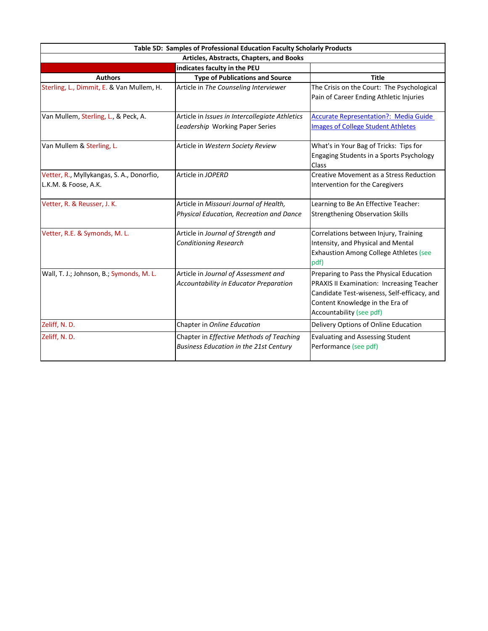| Table 5D: Samples of Professional Education Faculty Scholarly Products |                                                                                           |                                                                                                                                                                                                     |  |
|------------------------------------------------------------------------|-------------------------------------------------------------------------------------------|-----------------------------------------------------------------------------------------------------------------------------------------------------------------------------------------------------|--|
| Articles, Abstracts, Chapters, and Books                               |                                                                                           |                                                                                                                                                                                                     |  |
|                                                                        | indicates faculty in the PEU                                                              |                                                                                                                                                                                                     |  |
| <b>Authors</b>                                                         | <b>Type of Publications and Source</b>                                                    | <b>Title</b>                                                                                                                                                                                        |  |
| Sterling, L., Dimmit, E. & Van Mullem, H.                              | Article in The Counseling Interviewer                                                     | The Crisis on the Court: The Psychological<br>Pain of Career Ending Athletic Injuries                                                                                                               |  |
| Van Mullem, Sterling, L., & Peck, A.                                   | Article in Issues in Intercollegiate Athletics<br>Leadership Working Paper Series         | <b>Accurate Representation?: Media Guide</b><br><b>Images of College Student Athletes</b>                                                                                                           |  |
| Van Mullem & Sterling, L.                                              | Article in Western Society Review                                                         | What's in Your Bag of Tricks: Tips for<br>Engaging Students in a Sports Psychology<br><b>Class</b>                                                                                                  |  |
| Vetter, R., Myllykangas, S. A., Donorfio,<br>L.K.M. & Foose, A.K.      | Article in JOPERD                                                                         | Creative Movement as a Stress Reduction<br>Intervention for the Caregivers                                                                                                                          |  |
| Vetter, R. & Reusser, J. K.                                            | Article in Missouri Journal of Health,<br>Physical Education, Recreation and Dance        | Learning to Be An Effective Teacher:<br><b>Strengthening Observation Skills</b>                                                                                                                     |  |
| Vetter, R.E. & Symonds, M.L.                                           | Article in Journal of Strength and<br><b>Conditioning Research</b>                        | Correlations between Injury, Training<br>Intensity, and Physical and Mental<br><b>Exhaustion Among College Athletes (see</b><br>pdf)                                                                |  |
| Wall, T. J.; Johnson, B.; Symonds, M. L.                               | Article in Journal of Assessment and<br>Accountability in Educator Preparation            | Preparing to Pass the Physical Education<br>PRAXIS II Examination: Increasing Teacher<br>Candidate Test-wiseness, Self-efficacy, and<br>Content Knowledge in the Era of<br>Accountability (see pdf) |  |
| Zeliff, N.D.                                                           | Chapter in Online Education                                                               | Delivery Options of Online Education                                                                                                                                                                |  |
| Zeliff, N.D.                                                           | Chapter in Effective Methods of Teaching<br><b>Business Education in the 21st Century</b> | <b>Evaluating and Assessing Student</b><br>Performance (see pdf)                                                                                                                                    |  |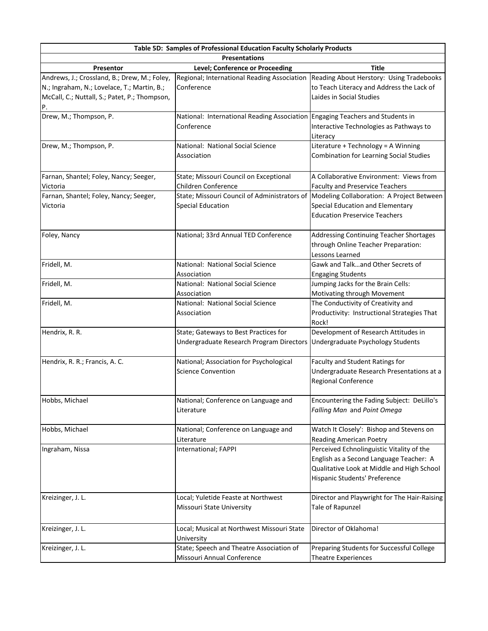| Table 5D: Samples of Professional Education Faculty Scholarly Products                                                                       |                                                                                             |                                                                                                                                                                     |  |
|----------------------------------------------------------------------------------------------------------------------------------------------|---------------------------------------------------------------------------------------------|---------------------------------------------------------------------------------------------------------------------------------------------------------------------|--|
| <b>Presentations</b>                                                                                                                         |                                                                                             |                                                                                                                                                                     |  |
| Presentor                                                                                                                                    | Level; Conference or Proceeding                                                             | <b>Title</b>                                                                                                                                                        |  |
| Andrews, J.; Crossland, B.; Drew, M.; Foley,<br>N.; Ingraham, N.; Lovelace, T.; Martin, B.;<br>McCall, C.; Nuttall, S.; Patet, P.; Thompson, | Regional; International Reading Association<br>Conference                                   | Reading About Herstory: Using Tradebooks<br>to Teach Literacy and Address the Lack of<br>Laides in Social Studies                                                   |  |
| Drew, M.; Thompson, P.                                                                                                                       | National: International Reading Association Engaging Teachers and Students in<br>Conference | Interactive Technologies as Pathways to<br>Literacy                                                                                                                 |  |
| Drew, M.; Thompson, P.                                                                                                                       | National: National Social Science<br>Association                                            | Literature + Technology = A Winning<br><b>Combination for Learning Social Studies</b>                                                                               |  |
| Farnan, Shantel; Foley, Nancy; Seeger,<br>Victoria                                                                                           | State; Missouri Council on Exceptional<br>Children Conference                               | A Collaborative Environment: Views from<br><b>Faculty and Preservice Teachers</b>                                                                                   |  |
| Farnan, Shantel; Foley, Nancy; Seeger,<br>Victoria                                                                                           | State; Missouri Council of Administrators of<br><b>Special Education</b>                    | Modeling Collaboration: A Project Between<br>Special Education and Elementary<br><b>Education Preservice Teachers</b>                                               |  |
| Foley, Nancy                                                                                                                                 | National; 33rd Annual TED Conference                                                        | <b>Addressing Continuing Teacher Shortages</b><br>through Online Teacher Preparation:<br>Lessons Learned                                                            |  |
| Fridell, M.                                                                                                                                  | National: National Social Science<br>Association                                            | Gawk and Talkand Other Secrets of<br><b>Engaging Students</b>                                                                                                       |  |
| Fridell, M.                                                                                                                                  | National: National Social Science<br>Association                                            | Jumping Jacks for the Brain Cells:<br>Motivating through Movement                                                                                                   |  |
| Fridell, M.                                                                                                                                  | National: National Social Science<br>Association                                            | The Conductivity of Creativity and<br>Productivity: Instructional Strategies That<br>Rock!                                                                          |  |
| Hendrix, R. R.                                                                                                                               | State; Gateways to Best Practices for<br>Undergraduate Research Program Directors           | Development of Research Attitudes in<br>Undergraduate Psychology Students                                                                                           |  |
| Hendrix, R. R.; Francis, A. C.                                                                                                               | National; Association for Psychological<br><b>Science Convention</b>                        | Faculty and Student Ratings for<br>Undergraduate Research Presentations at a<br>Regional Conference                                                                 |  |
| Hobbs, Michael                                                                                                                               | National; Conference on Language and<br>Literature                                          | Encountering the Fading Subject: DeLillo's<br>Falling Man and Point Omega                                                                                           |  |
| Hobbs, Michael                                                                                                                               | National; Conference on Language and<br>Literature                                          | Watch It Closely': Bishop and Stevens on<br><b>Reading American Poetry</b>                                                                                          |  |
| Ingraham, Nissa                                                                                                                              | International; FAPPI                                                                        | Perceived Echnolinguistic Vitality of the<br>English as a Second Language Teacher: A<br>Qualitative Look at Middle and High School<br>Hispanic Students' Preference |  |
| Kreizinger, J. L.                                                                                                                            | Local; Yuletide Feaste at Northwest<br>Missouri State University                            | Director and Playwright for The Hair-Raising<br>Tale of Rapunzel                                                                                                    |  |
| Kreizinger, J. L.                                                                                                                            | Local; Musical at Northwest Missouri State<br>University                                    | Director of Oklahoma!                                                                                                                                               |  |
| Kreizinger, J. L.                                                                                                                            | State; Speech and Theatre Association of<br>Missouri Annual Conference                      | Preparing Students for Successful College<br>Theatre Experiences                                                                                                    |  |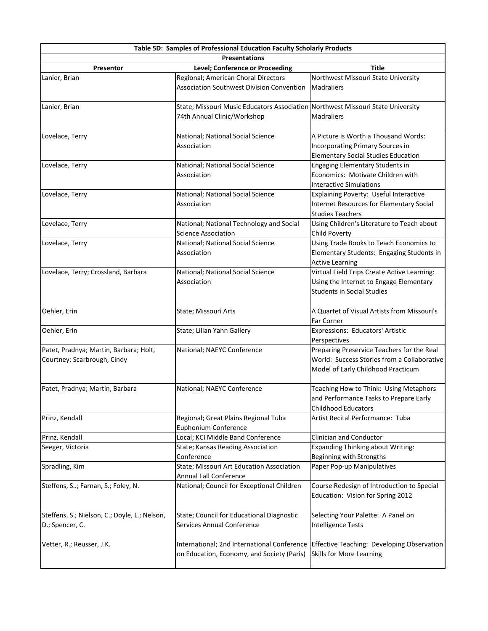|                                               | Table 5D: Samples of Professional Education Faculty Scholarly Products          |                                                                                        |  |
|-----------------------------------------------|---------------------------------------------------------------------------------|----------------------------------------------------------------------------------------|--|
| <b>Presentations</b>                          |                                                                                 |                                                                                        |  |
| Presentor                                     | Level; Conference or Proceeding                                                 | <b>Title</b>                                                                           |  |
| Lanier, Brian                                 | Regional; American Choral Directors                                             | Northwest Missouri State University                                                    |  |
|                                               | <b>Association Southwest Division Convention</b>                                | <b>Madraliers</b>                                                                      |  |
| Lanier, Brian                                 | State; Missouri Music Educators Association Northwest Missouri State University |                                                                                        |  |
|                                               | 74th Annual Clinic/Workshop                                                     | Madraliers                                                                             |  |
| Lovelace, Terry                               | National; National Social Science                                               | A Picture is Worth a Thousand Words:                                                   |  |
|                                               | Association                                                                     | Incorporating Primary Sources in                                                       |  |
|                                               |                                                                                 | <b>Elementary Social Studies Education</b>                                             |  |
| Lovelace, Terry                               | National; National Social Science                                               | <b>Engaging Elementary Students in</b>                                                 |  |
|                                               | Association                                                                     | Economics: Motivate Children with                                                      |  |
|                                               |                                                                                 | <b>Interactive Simulations</b>                                                         |  |
| Lovelace, Terry                               | National; National Social Science                                               | Explaining Poverty: Useful Interactive                                                 |  |
|                                               | Association                                                                     | Internet Resources for Elementary Social                                               |  |
|                                               |                                                                                 | <b>Studies Teachers</b>                                                                |  |
| Lovelace, Terry                               | National; National Technology and Social                                        | Using Children's Literature to Teach about                                             |  |
|                                               | <b>Science Association</b>                                                      | Child Poverty                                                                          |  |
| Lovelace, Terry                               | National; National Social Science                                               | Using Trade Books to Teach Economics to                                                |  |
|                                               | Association                                                                     | Elementary Students: Engaging Students in                                              |  |
|                                               |                                                                                 | <b>Active Learning</b>                                                                 |  |
| Lovelace, Terry; Crossland, Barbara           | National; National Social Science                                               | Virtual Field Trips Create Active Learning:                                            |  |
|                                               | Association                                                                     | Using the Internet to Engage Elementary                                                |  |
|                                               |                                                                                 | <b>Students in Social Studies</b>                                                      |  |
| Oehler, Erin                                  | State; Missouri Arts                                                            | A Quartet of Visual Artists from Missouri's<br>Far Corner                              |  |
|                                               |                                                                                 |                                                                                        |  |
| Oehler, Erin                                  | State; Lilian Yahn Gallery                                                      | Expressions: Educators' Artistic<br>Perspectives                                       |  |
| Patet, Pradnya; Martin, Barbara; Holt,        | National; NAEYC Conference                                                      | Preparing Preservice Teachers for the Real                                             |  |
| Courtney; Scarbrough, Cindy                   |                                                                                 | World: Success Stories from a Collaborative                                            |  |
|                                               |                                                                                 | Model of Early Childhood Practicum                                                     |  |
| Patet, Pradnya; Martin, Barbara               | National; NAEYC Conference                                                      | Teaching How to Think: Using Metaphors                                                 |  |
|                                               |                                                                                 | and Performance Tasks to Prepare Early                                                 |  |
|                                               |                                                                                 | <b>Childhood Educators</b>                                                             |  |
| Prinz, Kendall                                | Regional; Great Plains Regional Tuba                                            | Artist Recital Performance: Tuba                                                       |  |
|                                               | <b>Euphonium Conference</b>                                                     |                                                                                        |  |
| Prinz, Kendall                                | Local; KCI Middle Band Conference                                               | Clinician and Conductor                                                                |  |
| Seeger, Victoria                              | State; Kansas Reading Association                                               | <b>Expanding Thinking about Writing:</b>                                               |  |
|                                               | Conference                                                                      | Beginning with Strengths                                                               |  |
| Spradling, Kim                                | State; Missouri Art Education Association                                       | Paper Pop-up Manipulatives                                                             |  |
|                                               | <b>Annual Fall Conference</b>                                                   |                                                                                        |  |
| Steffens, S; Farnan, S.; Foley, N.            | National; Council for Exceptional Children                                      | Course Redesign of Introduction to Special                                             |  |
|                                               |                                                                                 | Education: Vision for Spring 2012                                                      |  |
| Steffens, S.; Nielson, C.; Doyle, L.; Nelson, | State; Council for Educational Diagnostic                                       | Selecting Your Palette: A Panel on                                                     |  |
| D.; Spencer, C.                               | Services Annual Conference                                                      | <b>Intelligence Tests</b>                                                              |  |
|                                               |                                                                                 |                                                                                        |  |
| Vetter, R.; Reusser, J.K.                     |                                                                                 | International; 2nd International Conference Effective Teaching: Developing Observation |  |
|                                               | on Education, Economy, and Society (Paris)                                      | <b>Skills for More Learning</b>                                                        |  |